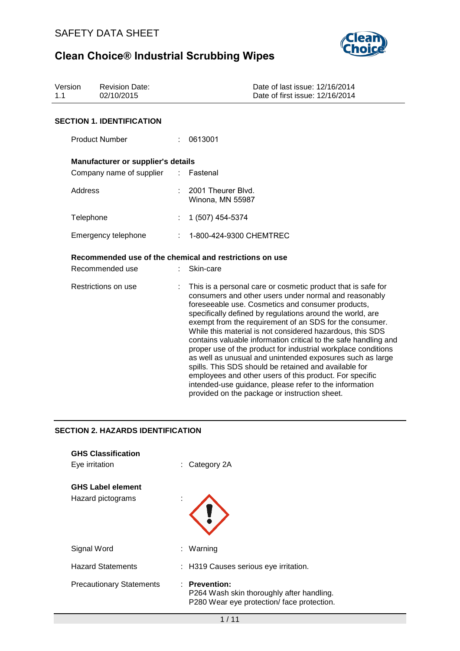

| Version<br>1.1 | <b>Revision Date:</b><br>02/10/2015                                   |    | Date of last issue: 12/16/2014<br>Date of first issue: 12/16/2014                                                                                                                                                                                                                                                                                                                                                                                                                                                                                                                                                                                                                                                                                                                               |
|----------------|-----------------------------------------------------------------------|----|-------------------------------------------------------------------------------------------------------------------------------------------------------------------------------------------------------------------------------------------------------------------------------------------------------------------------------------------------------------------------------------------------------------------------------------------------------------------------------------------------------------------------------------------------------------------------------------------------------------------------------------------------------------------------------------------------------------------------------------------------------------------------------------------------|
|                | <b>SECTION 1. IDENTIFICATION</b>                                      |    |                                                                                                                                                                                                                                                                                                                                                                                                                                                                                                                                                                                                                                                                                                                                                                                                 |
|                | <b>Product Number</b>                                                 |    | 0613001                                                                                                                                                                                                                                                                                                                                                                                                                                                                                                                                                                                                                                                                                                                                                                                         |
|                | Manufacturer or supplier's details                                    |    |                                                                                                                                                                                                                                                                                                                                                                                                                                                                                                                                                                                                                                                                                                                                                                                                 |
|                | Company name of supplier                                              | ÷. | Fastenal                                                                                                                                                                                                                                                                                                                                                                                                                                                                                                                                                                                                                                                                                                                                                                                        |
|                | <b>Address</b>                                                        |    | 2001 Theurer Blvd.<br>Winona, MN 55987                                                                                                                                                                                                                                                                                                                                                                                                                                                                                                                                                                                                                                                                                                                                                          |
|                | Telephone                                                             |    | 1 (507) 454-5374                                                                                                                                                                                                                                                                                                                                                                                                                                                                                                                                                                                                                                                                                                                                                                                |
|                | Emergency telephone                                                   |    | 1-800-424-9300 CHEMTREC                                                                                                                                                                                                                                                                                                                                                                                                                                                                                                                                                                                                                                                                                                                                                                         |
|                |                                                                       |    | Recommended use of the chemical and restrictions on use                                                                                                                                                                                                                                                                                                                                                                                                                                                                                                                                                                                                                                                                                                                                         |
|                | Recommended use                                                       |    | Skin-care                                                                                                                                                                                                                                                                                                                                                                                                                                                                                                                                                                                                                                                                                                                                                                                       |
|                | Restrictions on use                                                   |    | This is a personal care or cosmetic product that is safe for<br>consumers and other users under normal and reasonably<br>foreseeable use. Cosmetics and consumer products,<br>specifically defined by regulations around the world, are<br>exempt from the requirement of an SDS for the consumer.<br>While this material is not considered hazardous, this SDS<br>contains valuable information critical to the safe handling and<br>proper use of the product for industrial workplace conditions<br>as well as unusual and unintended exposures such as large<br>spills. This SDS should be retained and available for<br>employees and other users of this product. For specific<br>intended-use guidance, please refer to the information<br>provided on the package or instruction sheet. |
|                | <b>SECTION 2. HAZARDS IDENTIFICATION</b><br><b>GHS Classification</b> |    |                                                                                                                                                                                                                                                                                                                                                                                                                                                                                                                                                                                                                                                                                                                                                                                                 |

| Eye irritation                                | $:$ Category 2A                                                                                          |
|-----------------------------------------------|----------------------------------------------------------------------------------------------------------|
| <b>GHS Label element</b><br>Hazard pictograms | $\mathbf{r}$                                                                                             |
| Signal Word                                   | : Warning                                                                                                |
| <b>Hazard Statements</b>                      | : H319 Causes serious eye irritation.                                                                    |
| <b>Precautionary Statements</b>               | : Prevention:<br>P264 Wash skin thoroughly after handling.<br>P280 Wear eye protection/ face protection. |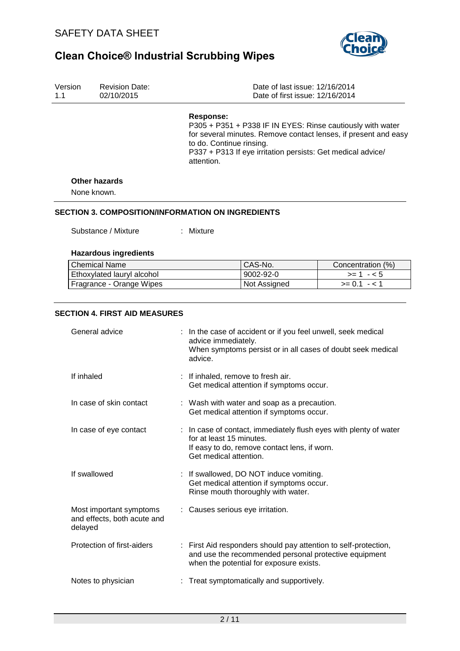

| Version<br>1.1 | <b>Revision Date:</b><br>02/10/2015                                                                                                                                                               |  |                                                                                         | Date of last issue: 12/16/2014<br>Date of first issue: 12/16/2014                                                                                                   |                                                                                                                               |
|----------------|---------------------------------------------------------------------------------------------------------------------------------------------------------------------------------------------------|--|-----------------------------------------------------------------------------------------|---------------------------------------------------------------------------------------------------------------------------------------------------------------------|-------------------------------------------------------------------------------------------------------------------------------|
|                |                                                                                                                                                                                                   |  | <b>Response:</b><br>to do. Continue rinsing.<br>attention.                              | P337 + P313 If eye irritation persists: Get medical advice/                                                                                                         | P305 + P351 + P338 IF IN EYES: Rinse cautiously with water<br>for several minutes. Remove contact lenses, if present and easy |
|                | <b>Other hazards</b><br>None known.                                                                                                                                                               |  |                                                                                         |                                                                                                                                                                     |                                                                                                                               |
|                |                                                                                                                                                                                                   |  |                                                                                         |                                                                                                                                                                     |                                                                                                                               |
|                | <b>SECTION 3. COMPOSITION/INFORMATION ON INGREDIENTS</b><br>Substance / Mixture                                                                                                                   |  | : Mixture                                                                               |                                                                                                                                                                     |                                                                                                                               |
|                | <b>Hazardous ingredients</b>                                                                                                                                                                      |  |                                                                                         |                                                                                                                                                                     |                                                                                                                               |
|                | <b>Chemical Name</b>                                                                                                                                                                              |  |                                                                                         | CAS-No.                                                                                                                                                             | Concentration (%)                                                                                                             |
|                | Ethoxylated lauryl alcohol                                                                                                                                                                        |  |                                                                                         | $9002 - 92 - 0$                                                                                                                                                     | $>= 1 - 5$                                                                                                                    |
|                | Fragrance - Orange Wipes                                                                                                                                                                          |  |                                                                                         | Not Assigned                                                                                                                                                        | $>= 0.1 - 1$                                                                                                                  |
|                |                                                                                                                                                                                                   |  |                                                                                         |                                                                                                                                                                     |                                                                                                                               |
|                | <b>SECTION 4. FIRST AID MEASURES</b>                                                                                                                                                              |  |                                                                                         |                                                                                                                                                                     |                                                                                                                               |
|                | General advice                                                                                                                                                                                    |  | advice immediately.<br>advice.                                                          | : In the case of accident or if you feel unwell, seek medical                                                                                                       | When symptoms persist or in all cases of doubt seek medical                                                                   |
|                | If inhaled                                                                                                                                                                                        |  |                                                                                         | If inhaled, remove to fresh air.<br>Get medical attention if symptoms occur.                                                                                        |                                                                                                                               |
|                | In case of skin contact                                                                                                                                                                           |  | : Wash with water and soap as a precaution.<br>Get medical attention if symptoms occur. |                                                                                                                                                                     |                                                                                                                               |
|                | : In case of contact, immediately flush eyes with plenty of water<br>In case of eye contact<br>for at least 15 minutes.<br>If easy to do, remove contact lens, if worn.<br>Get medical attention. |  |                                                                                         |                                                                                                                                                                     |                                                                                                                               |
|                | If swallowed                                                                                                                                                                                      |  |                                                                                         | : If swallowed, DO NOT induce vomiting.<br>Get medical attention if symptoms occur.<br>Rinse mouth thoroughly with water.                                           |                                                                                                                               |
|                | Most important symptoms<br>and effects, both acute and<br>delayed                                                                                                                                 |  |                                                                                         | : Causes serious eye irritation.                                                                                                                                    |                                                                                                                               |
|                | Protection of first-aiders                                                                                                                                                                        |  |                                                                                         | : First Aid responders should pay attention to self-protection,<br>and use the recommended personal protective equipment<br>when the potential for exposure exists. |                                                                                                                               |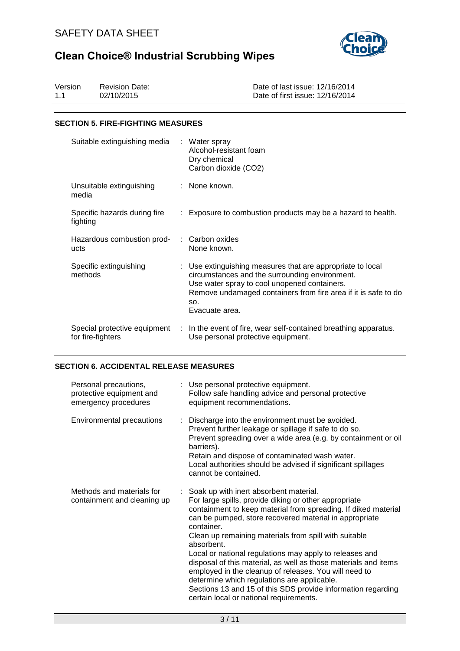

| Version | <b>Revision Date:</b> | Date of last issue: 12/16/2014  |
|---------|-----------------------|---------------------------------|
| 11      | 02/10/2015            | Date of first issue: 12/16/2014 |

### **SECTION 5. FIRE-FIGHTING MEASURES**

| Suitable extinguishing media                      | : Water spray<br>Alcohol-resistant foam<br>Dry chemical<br>Carbon dioxide (CO2)                                                                                                                                                                         |
|---------------------------------------------------|---------------------------------------------------------------------------------------------------------------------------------------------------------------------------------------------------------------------------------------------------------|
| Unsuitable extinguishing<br>media                 | : None known.                                                                                                                                                                                                                                           |
| Specific hazards during fire<br>fighting          | : Exposure to combustion products may be a hazard to health.                                                                                                                                                                                            |
| Hazardous combustion prod-<br>ucts                | : Carbon oxides<br>None known.                                                                                                                                                                                                                          |
| Specific extinguishing<br>methods                 | : Use extinguishing measures that are appropriate to local<br>circumstances and the surrounding environment.<br>Use water spray to cool unopened containers.<br>Remove undamaged containers from fire area if it is safe to do<br>SO.<br>Evacuate area. |
| Special protective equipment<br>for fire-fighters | : In the event of fire, wear self-contained breathing apparatus.<br>Use personal protective equipment.                                                                                                                                                  |

## **SECTION 6. ACCIDENTAL RELEASE MEASURES**

| Personal precautions,<br>protective equipment and<br>emergency procedures | : Use personal protective equipment.<br>Follow safe handling advice and personal protective<br>equipment recommendations.                                                                                                                                                                                                                                                                                                                                                                                                                                                                                                                                           |
|---------------------------------------------------------------------------|---------------------------------------------------------------------------------------------------------------------------------------------------------------------------------------------------------------------------------------------------------------------------------------------------------------------------------------------------------------------------------------------------------------------------------------------------------------------------------------------------------------------------------------------------------------------------------------------------------------------------------------------------------------------|
| Environmental precautions                                                 | : Discharge into the environment must be avoided.<br>Prevent further leakage or spillage if safe to do so.<br>Prevent spreading over a wide area (e.g. by containment or oil<br>barriers).<br>Retain and dispose of contaminated wash water.<br>Local authorities should be advised if significant spillages<br>cannot be contained.                                                                                                                                                                                                                                                                                                                                |
| Methods and materials for<br>containment and cleaning up                  | : Soak up with inert absorbent material.<br>For large spills, provide diking or other appropriate<br>containment to keep material from spreading. If diked material<br>can be pumped, store recovered material in appropriate<br>container.<br>Clean up remaining materials from spill with suitable<br>absorbent.<br>Local or national regulations may apply to releases and<br>disposal of this material, as well as those materials and items<br>employed in the cleanup of releases. You will need to<br>determine which regulations are applicable.<br>Sections 13 and 15 of this SDS provide information regarding<br>certain local or national requirements. |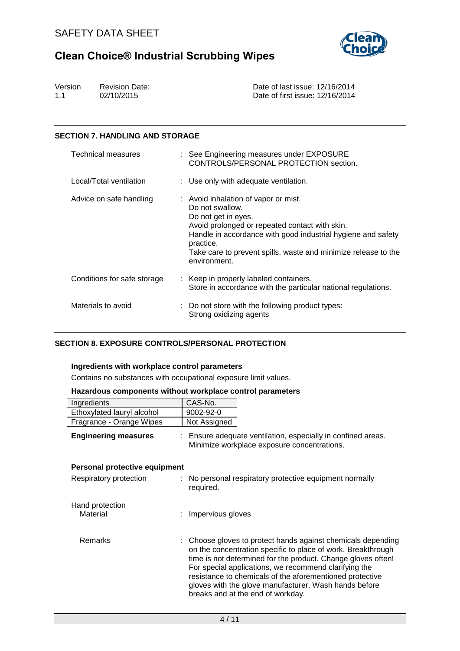

| Version | <b>Revision Date:</b> | Date of last issue: 12/16/2014  |
|---------|-----------------------|---------------------------------|
| 1.1     | 02/10/2015            | Date of first issue: 12/16/2014 |

## **SECTION 7. HANDLING AND STORAGE**

| Technical measures          | : See Engineering measures under EXPOSURE<br>CONTROLS/PERSONAL PROTECTION section.                                                                                                                                                                                                              |
|-----------------------------|-------------------------------------------------------------------------------------------------------------------------------------------------------------------------------------------------------------------------------------------------------------------------------------------------|
| Local/Total ventilation     | : Use only with adequate ventilation.                                                                                                                                                                                                                                                           |
| Advice on safe handling     | : Avoid inhalation of vapor or mist.<br>Do not swallow.<br>Do not get in eyes.<br>Avoid prolonged or repeated contact with skin.<br>Handle in accordance with good industrial hygiene and safety<br>practice.<br>Take care to prevent spills, waste and minimize release to the<br>environment. |
| Conditions for safe storage | : Keep in properly labeled containers.<br>Store in accordance with the particular national regulations.                                                                                                                                                                                         |
| Materials to avoid          | : Do not store with the following product types:<br>Strong oxidizing agents                                                                                                                                                                                                                     |

## **SECTION 8. EXPOSURE CONTROLS/PERSONAL PROTECTION**

## **Ingredients with workplace control parameters**

Contains no substances with occupational exposure limit values.

#### **Hazardous components without workplace control parameters**

| Ingredients                   | CAS-No.             |                                                                                                                                                                                                                                                                                                                                                                                                                 |
|-------------------------------|---------------------|-----------------------------------------------------------------------------------------------------------------------------------------------------------------------------------------------------------------------------------------------------------------------------------------------------------------------------------------------------------------------------------------------------------------|
| Ethoxylated lauryl alcohol    | 9002-92-0           |                                                                                                                                                                                                                                                                                                                                                                                                                 |
| Fragrance - Orange Wipes      | Not Assigned        |                                                                                                                                                                                                                                                                                                                                                                                                                 |
| <b>Engineering measures</b>   |                     | : Ensure adequate ventilation, especially in confined areas.<br>Minimize workplace exposure concentrations.                                                                                                                                                                                                                                                                                                     |
| Personal protective equipment |                     |                                                                                                                                                                                                                                                                                                                                                                                                                 |
| Respiratory protection        | required.           | : No personal respiratory protective equipment normally                                                                                                                                                                                                                                                                                                                                                         |
| Hand protection<br>Material   | : Impervious gloves |                                                                                                                                                                                                                                                                                                                                                                                                                 |
| Remarks                       |                     | : Choose gloves to protect hands against chemicals depending<br>on the concentration specific to place of work. Breakthrough<br>time is not determined for the product. Change gloves often!<br>For special applications, we recommend clarifying the<br>resistance to chemicals of the aforementioned protective<br>gloves with the glove manufacturer. Wash hands before<br>breaks and at the end of workday. |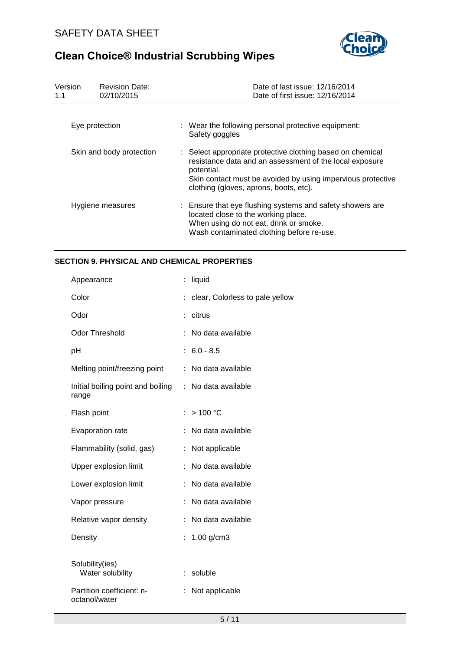

| Version<br>1.1 | <b>Revision Date:</b><br>02/10/2015 | Date of last issue: 12/16/2014<br>Date of first issue: 12/16/2014                                                                                                                                                                            |
|----------------|-------------------------------------|----------------------------------------------------------------------------------------------------------------------------------------------------------------------------------------------------------------------------------------------|
|                | Eye protection                      | : Wear the following personal protective equipment:<br>Safety goggles                                                                                                                                                                        |
|                | Skin and body protection            | : Select appropriate protective clothing based on chemical<br>resistance data and an assessment of the local exposure<br>potential.<br>Skin contact must be avoided by using impervious protective<br>clothing (gloves, aprons, boots, etc). |
|                | Hygiene measures                    | : Ensure that eye flushing systems and safety showers are<br>located close to the working place.<br>When using do not eat, drink or smoke.<br>Wash contaminated clothing before re-use.                                                      |

# **SECTION 9. PHYSICAL AND CHEMICAL PROPERTIES**

| Appearance                                 |   | liquid                          |
|--------------------------------------------|---|---------------------------------|
| Color                                      |   | clear, Colorless to pale yellow |
| Odor                                       |   | citrus                          |
| <b>Odor Threshold</b>                      |   | No data available               |
| рH                                         |   | $6.0 - 8.5$                     |
| Melting point/freezing point               |   | No data available               |
| Initial boiling point and boiling<br>range |   | : No data available             |
| Flash point                                |   | >100 °C                         |
| Evaporation rate                           |   | No data available               |
| Flammability (solid, gas)                  | t | Not applicable                  |
| Upper explosion limit                      |   | No data available               |
| Lower explosion limit                      |   | No data available               |
| Vapor pressure                             |   | No data available               |
| Relative vapor density                     | ÷ | No data available               |
| Density                                    | ÷ | $1.00$ g/cm3                    |
| Solubility(ies)<br>Water solubility        | ÷ | soluble                         |
| Partition coefficient: n-<br>octanol/water |   | Not applicable                  |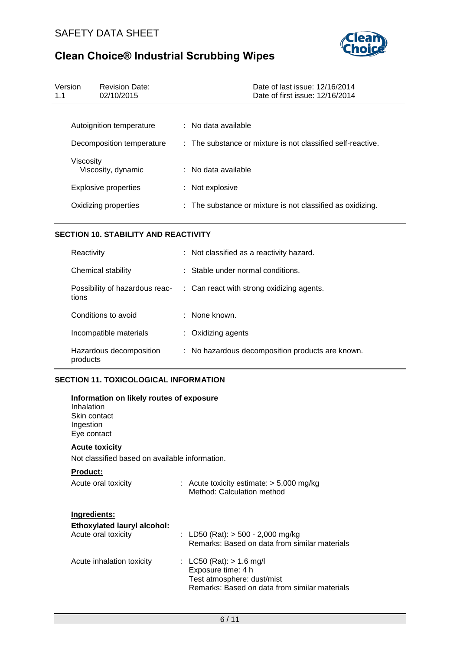

| Version<br>1.1 | <b>Revision Date:</b><br>02/10/2015 | Date of last issue: 12/16/2014<br>Date of first issue: 12/16/2014 |
|----------------|-------------------------------------|-------------------------------------------------------------------|
|                |                                     |                                                                   |
|                | Autoignition temperature            | $:$ No data available                                             |
|                | Decomposition temperature           | : The substance or mixture is not classified self-reactive.       |
| Viscosity      | Viscosity, dynamic                  | $:$ No data available                                             |
|                | <b>Explosive properties</b>         | : Not explosive                                                   |
|                | Oxidizing properties                | : The substance or mixture is not classified as oxidizing.        |

# **SECTION 10. STABILITY AND REACTIVITY**

| Reactivity                              | : Not classified as a reactivity hazard.         |
|-----------------------------------------|--------------------------------------------------|
| Chemical stability                      | $\therefore$ Stable under normal conditions.     |
| Possibility of hazardous reac-<br>tions | : Can react with strong oxidizing agents.        |
| Conditions to avoid                     | : None known.                                    |
| Incompatible materials                  | $:$ Oxidizing agents                             |
| Hazardous decomposition<br>products     | : No hazardous decomposition products are known. |

# **SECTION 11. TOXICOLOGICAL INFORMATION**

| Information on likely routes of exposure<br>Inhalation<br>Skin contact<br>Ingestion<br>Eye contact |                                                                                                                                 |
|----------------------------------------------------------------------------------------------------|---------------------------------------------------------------------------------------------------------------------------------|
| <b>Acute toxicity</b>                                                                              |                                                                                                                                 |
| Not classified based on available information.                                                     |                                                                                                                                 |
| <b>Product:</b>                                                                                    |                                                                                                                                 |
| Acute oral toxicity                                                                                | : Acute toxicity estimate: $>$ 5,000 mg/kg<br>Method: Calculation method                                                        |
| Ingredients:                                                                                       |                                                                                                                                 |
| Ethoxylated lauryl alcohol:                                                                        |                                                                                                                                 |
| Acute oral toxicity                                                                                | : LD50 (Rat): $>$ 500 - 2,000 mg/kg<br>Remarks: Based on data from similar materials                                            |
| Acute inhalation toxicity                                                                          | : LC50 (Rat): $> 1.6$ mg/l<br>Exposure time: 4 h<br>Test atmosphere: dust/mist<br>Remarks: Based on data from similar materials |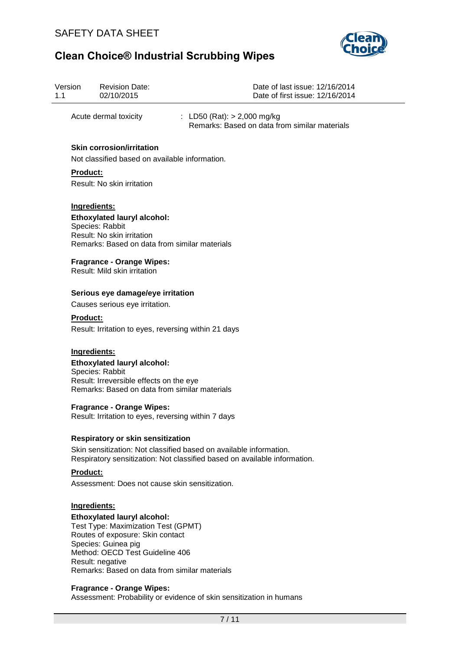

| Version<br>1.1  | <b>Revision Date:</b><br>02/10/2015                                                                                                                                                                                                          | Date of last issue: 12/16/2014<br>Date of first issue: 12/16/2014                                                                               |
|-----------------|----------------------------------------------------------------------------------------------------------------------------------------------------------------------------------------------------------------------------------------------|-------------------------------------------------------------------------------------------------------------------------------------------------|
|                 | Acute dermal toxicity                                                                                                                                                                                                                        | : LD50 (Rat): $> 2,000$ mg/kg<br>Remarks: Based on data from similar materials                                                                  |
|                 | <b>Skin corrosion/irritation</b><br>Not classified based on available information.                                                                                                                                                           |                                                                                                                                                 |
| <b>Product:</b> | Result: No skin irritation                                                                                                                                                                                                                   |                                                                                                                                                 |
| Ingredients:    | Ethoxylated lauryl alcohol:<br>Species: Rabbit<br>Result: No skin irritation<br>Remarks: Based on data from similar materials                                                                                                                |                                                                                                                                                 |
|                 | <b>Fragrance - Orange Wipes:</b><br>Result: Mild skin irritation                                                                                                                                                                             |                                                                                                                                                 |
|                 | Serious eye damage/eye irritation                                                                                                                                                                                                            |                                                                                                                                                 |
|                 | Causes serious eye irritation.                                                                                                                                                                                                               |                                                                                                                                                 |
| <b>Product:</b> | Result: Irritation to eyes, reversing within 21 days                                                                                                                                                                                         |                                                                                                                                                 |
| Ingredients:    | <b>Ethoxylated lauryl alcohol:</b><br>Species: Rabbit<br>Result: Irreversible effects on the eye<br>Remarks: Based on data from similar materials                                                                                            |                                                                                                                                                 |
|                 | <b>Fragrance - Orange Wipes:</b><br>Result: Irritation to eyes, reversing within 7 days                                                                                                                                                      |                                                                                                                                                 |
|                 | <b>Respiratory or skin sensitization</b>                                                                                                                                                                                                     |                                                                                                                                                 |
|                 |                                                                                                                                                                                                                                              | Skin sensitization: Not classified based on available information.<br>Respiratory sensitization: Not classified based on available information. |
| <b>Product:</b> | Assessment: Does not cause skin sensitization.                                                                                                                                                                                               |                                                                                                                                                 |
| Ingredients:    | <b>Ethoxylated lauryl alcohol:</b><br>Test Type: Maximization Test (GPMT)<br>Routes of exposure: Skin contact<br>Species: Guinea pig<br>Method: OECD Test Guideline 406<br>Result: negative<br>Remarks: Based on data from similar materials |                                                                                                                                                 |
|                 | <b>Fragrance - Orange Wipes:</b>                                                                                                                                                                                                             | Assessment: Probability or evidence of skin sensitization in humans                                                                             |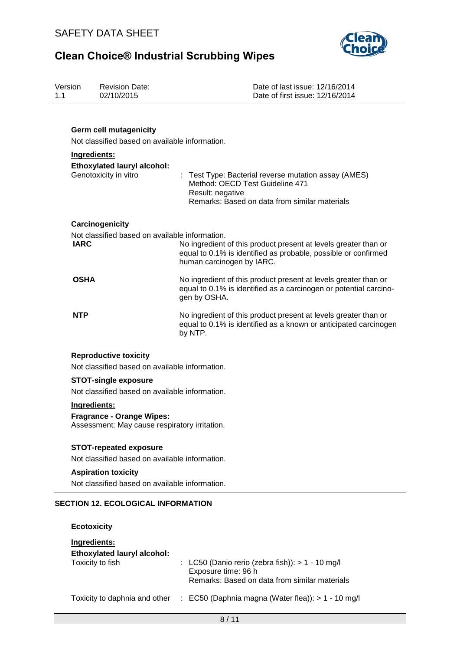

| Version<br>1.1 | <b>Revision Date:</b><br>02/10/2015                                               | Date of last issue: 12/16/2014<br>Date of first issue: 12/16/2014                                                                                              |
|----------------|-----------------------------------------------------------------------------------|----------------------------------------------------------------------------------------------------------------------------------------------------------------|
|                | <b>Germ cell mutagenicity</b><br>Not classified based on available information.   |                                                                                                                                                                |
|                | Ingredients:                                                                      |                                                                                                                                                                |
|                | <b>Ethoxylated lauryl alcohol:</b><br>Genotoxicity in vitro                       | : Test Type: Bacterial reverse mutation assay (AMES)<br>Method: OECD Test Guideline 471<br>Result: negative<br>Remarks: Based on data from similar materials   |
|                | Carcinogenicity                                                                   |                                                                                                                                                                |
| <b>IARC</b>    | Not classified based on available information.                                    | No ingredient of this product present at levels greater than or<br>equal to 0.1% is identified as probable, possible or confirmed<br>human carcinogen by IARC. |
| <b>OSHA</b>    |                                                                                   | No ingredient of this product present at levels greater than or<br>equal to 0.1% is identified as a carcinogen or potential carcino-<br>gen by OSHA.           |
| <b>NTP</b>     |                                                                                   | No ingredient of this product present at levels greater than or<br>equal to 0.1% is identified as a known or anticipated carcinogen<br>by NTP.                 |
|                | <b>Reproductive toxicity</b>                                                      |                                                                                                                                                                |
|                | Not classified based on available information.                                    |                                                                                                                                                                |
|                | <b>STOT-single exposure</b>                                                       |                                                                                                                                                                |
|                | Not classified based on available information.                                    |                                                                                                                                                                |
|                | Ingredients:                                                                      |                                                                                                                                                                |
|                | <b>Fragrance - Orange Wipes:</b><br>Assessment: May cause respiratory irritation. |                                                                                                                                                                |
|                | <b>STOT-repeated exposure</b>                                                     |                                                                                                                                                                |
|                | Not classified based on available information.                                    |                                                                                                                                                                |
|                | <b>Aspiration toxicity</b>                                                        |                                                                                                                                                                |
|                | Not classified based on available information.                                    |                                                                                                                                                                |
|                | <b>SECTION 12. ECOLOGICAL INFORMATION</b>                                         |                                                                                                                                                                |
|                | <b>Ecotoxicity</b>                                                                |                                                                                                                                                                |
|                | Ingredients:<br><b>Ethoxylated lauryl alcohol:</b>                                |                                                                                                                                                                |

| EC50 (Daphnia magna (Water flea)): > 1 - 10 mg/l | Toxicity to daphnia and other |  |  |  |  |
|--------------------------------------------------|-------------------------------|--|--|--|--|
|--------------------------------------------------|-------------------------------|--|--|--|--|

Exposure time: 96 h

Toxicity to fish : LC50 (Danio rerio (zebra fish)): > 1 - 10 mg/l

Remarks: Based on data from similar materials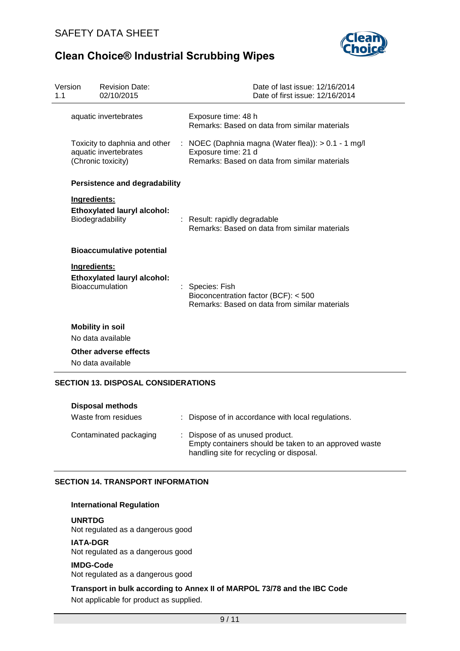

| Version<br>1.1 | <b>Revision Date:</b><br>02/10/2015                                          | Date of last issue: 12/16/2014<br>Date of first issue: 12/16/2014                                                             |
|----------------|------------------------------------------------------------------------------|-------------------------------------------------------------------------------------------------------------------------------|
|                | aquatic invertebrates                                                        | Exposure time: 48 h<br>Remarks: Based on data from similar materials                                                          |
|                | Toxicity to daphnia and other<br>aquatic invertebrates<br>(Chronic toxicity) | : NOEC (Daphnia magna (Water flea)): $> 0.1 - 1$ mg/l<br>Exposure time: 21 d<br>Remarks: Based on data from similar materials |
|                | <b>Persistence and degradability</b>                                         |                                                                                                                               |
|                | Ingredients:<br><b>Ethoxylated lauryl alcohol:</b><br>Biodegradability       | : Result: rapidly degradable<br>Remarks: Based on data from similar materials                                                 |
|                | <b>Bioaccumulative potential</b>                                             |                                                                                                                               |
|                | Ingredients:<br><b>Ethoxylated lauryl alcohol:</b><br>Bioaccumulation        | : Species: Fish<br>Bioconcentration factor (BCF): < 500<br>Remarks: Based on data from similar materials                      |
|                | <b>Mobility in soil</b><br>No data available                                 |                                                                                                                               |
|                | Other adverse effects<br>No data available                                   |                                                                                                                               |
|                | <b>SECTION 13. DISPOSAL CONSIDERATIONS</b>                                   |                                                                                                                               |

| Disposal methods       |                                                                                                                                      |
|------------------------|--------------------------------------------------------------------------------------------------------------------------------------|
| Waste from residues    | : Dispose of in accordance with local regulations.                                                                                   |
| Contaminated packaging | : Dispose of as unused product.<br>Empty containers should be taken to an approved waste<br>handling site for recycling or disposal. |

## **SECTION 14. TRANSPORT INFORMATION**

## **International Regulation**

**UNRTDG** Not regulated as a dangerous good

## **IATA-DGR**

Not regulated as a dangerous good

# **IMDG-Code**

Not regulated as a dangerous good

**Transport in bulk according to Annex II of MARPOL 73/78 and the IBC Code**  Not applicable for product as supplied.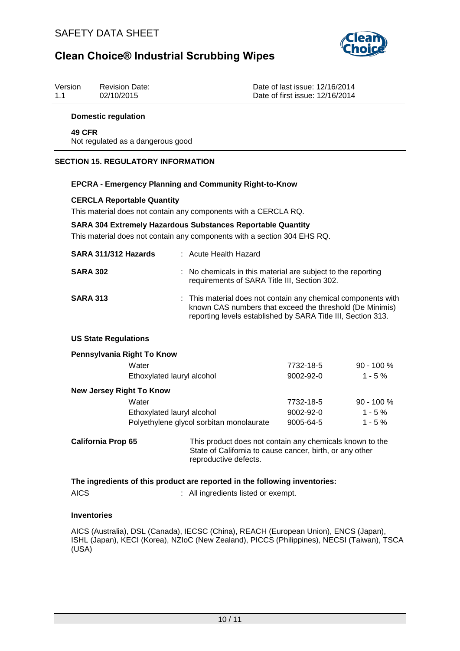

| Version | <b>Revision Date:</b> |
|---------|-----------------------|
| 1.1     | 02/10/2015            |

Date of last issue: 12/16/2014 Date of first issue: 12/16/2014

### **Domestic regulation**

#### **49 CFR** Not regulated as a dangerous good

### **SECTION 15. REGULATORY INFORMATION**

#### **EPCRA - Emergency Planning and Community Right-to-Know**

#### **CERCLA Reportable Quantity**

This material does not contain any components with a CERCLA RQ.

#### **SARA 304 Extremely Hazardous Substances Reportable Quantity**

This material does not contain any components with a section 304 EHS RQ.

| SARA 311/312 Hazards | : Acute Health Hazard                                                                                                                                                                     |
|----------------------|-------------------------------------------------------------------------------------------------------------------------------------------------------------------------------------------|
| <b>SARA 302</b>      | : No chemicals in this material are subject to the reporting<br>requirements of SARA Title III, Section 302.                                                                              |
| <b>SARA 313</b>      | : This material does not contain any chemical components with<br>known CAS numbers that exceed the threshold (De Minimis)<br>reporting levels established by SARA Title III, Section 313. |

#### **US State Regulations**

| Pennsylvania Right To Know      |                                          |                 |               |
|---------------------------------|------------------------------------------|-----------------|---------------|
|                                 | Water                                    | 7732-18-5       | $90 - 100 %$  |
|                                 | Ethoxylated lauryl alcohol               | $9002 - 92 - 0$ | $1 - 5\%$     |
| <b>New Jersey Right To Know</b> |                                          |                 |               |
|                                 | Water                                    | 7732-18-5       | $90 - 100 \%$ |
|                                 | Ethoxylated lauryl alcohol               | $9002 - 92 - 0$ | $1 - 5%$      |
|                                 | Polyethylene glycol sorbitan monolaurate | 9005-64-5       | $1 - 5%$      |
|                                 |                                          |                 |               |

| California Prop 65 | This product does not contain any chemicals known to the |
|--------------------|----------------------------------------------------------|
|                    | State of California to cause cancer, birth, or any other |
|                    | reproductive defects.                                    |

|      | The ingredients of this product are reported in the following inventories: |
|------|----------------------------------------------------------------------------|
| AICS | : All ingredients listed or exempt.                                        |

### **Inventories**

AICS (Australia), DSL (Canada), IECSC (China), REACH (European Union), ENCS (Japan), ISHL (Japan), KECI (Korea), NZIoC (New Zealand), PICCS (Philippines), NECSI (Taiwan), TSCA (USA)